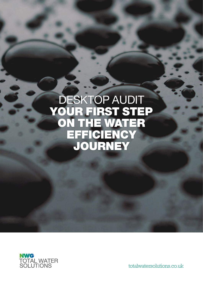# DESKTOP AUDIT YOUR FIRST STEP ON THE WATER EFFICIENCY JOURNEY



totalwatersolutions.co.uk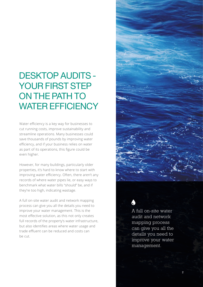## DESKTOP AUDITS - YOUR FIRST STEP ON THE PATH TO WATER EFFICIENCY

Water efficiency is a key way for businesses to cut running costs, improve sustainability and streamline operations. Many businesses could save thousands of pounds by improving water efficiency, and if your business relies on water as part of its operations, this figure could be even higher.

However, for many buildings, particularly older properties, it's hard to know where to start with improving water efficiency. Often, there aren't any records of where water pipes lie, or easy ways to benchmark what water bills "should" be, and if they're too high, indicating wastage.

A full on-site water audit and network mapping process can give you all the details you need to improve your water management. This is the most effective solution, as this not only creates full records of the property's water infrastructure, but also identifies areas where water usage and trade effluent can be reduced and costs can be cut.



A full on-site water audit and network mapping process can give you all the details you need to improve your water management.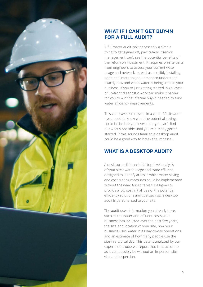

#### **WHAT IF I CAN'T GET BUY-IN FOR A FULL AUDIT?**

A full water audit isn't necessarily a simple thing to get signed off, particularly if senior management can't see the potential benefits of the return on investment. It requires on-site visits from engineers to assess your current water usage and network, as well as possibly installing additional metering equipment to understand exactly how and when water is being used in your business. If you're just getting started, high levels of up-front diagnostic work can make it harder for you to win the internal buy-in needed to fund water efficiency improvements.

This can leave businesses in a catch-22 situation - you need to know what the potential savings could be before you invest, but you can't find out what's possible until you've already gotten started. If this sounds familiar, a desktop audit could be a good way to break the impasse…

### **WHAT IS A DESKTOP AUDIT?**

A desktop audit is an initial top-level analysis of your site's water usage and trade effluent, designed to identify areas in which water saving and cost cutting measures could be implemented without the need for a site visit. Designed to provide a low cost initial idea of the potential efficiency solutions and cost savings, a desktop audit is personalised to your site.

The audit uses information you already have, such as the water and effluent costs your business has incurred over the past few years, the size and location of your site, how your business uses water in its day-to-day operations, and an estimate of how many people use the site in a typical day. This data is analysed by our experts to produce a report that is as accurate as it can possibly be without an in-person site visit and inspection.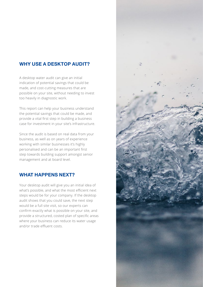#### **WHY USE A DESKTOP AUDIT?**

A desktop water audit can give an initial indication of potential savings that could be made, and cost-cutting measures that are possible on your site, without needing to invest too heavily in diagnostic work.

This report can help your business understand the potential savings that could be made, and provide a vital first step in building a business case for investment in your site's infrastructure.

Since the audit is based on real data from your business, as well as on years of experience working with similar businesses it's highly personalised and can be an important first step towards building support amongst senior management and at board level.

#### **WHAT HAPPENS NEXT?**

Your desktop audit will give you an initial idea of what's possible, and what the most efficient next steps would be for your company. If the desktop audit shows that you could save, the next step would be a full site visit, so our experts can confirm exactly what is possible on your site, and provide a structured, costed plan of specific areas where your business can reduce its water usage and/or trade effluent costs.

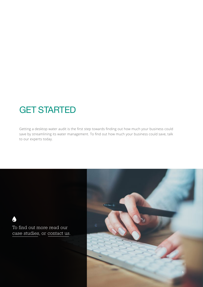### GET STARTED

Getting a desktop water audit is the first step towards finding out how much your business could save by streamlining its water management. To find out how much your business could save, talk to our experts today.

To find out more read our case studies, or contact us.

O